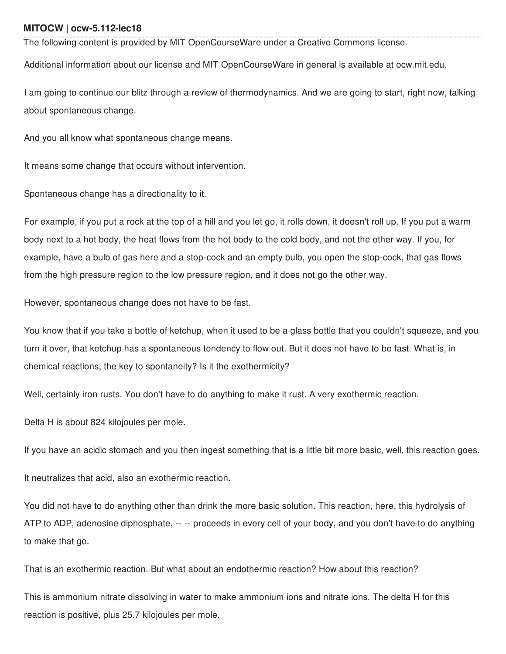## **MITOCW | ocw-5.112-lec18**

The following content is provided by MIT OpenCourseWare under a Creative Commons license.

Additional information about our license and MIT OpenCourseWare in general is available at ocw.mit.edu.

I am going to continue our blitz through a review of thermodynamics. And we are going to start, right now, talking about spontaneous change.

And you all know what spontaneous change means.

It means some change that occurs without intervention.

Spontaneous change has a directionality to it.

For example, if you put a rock at the top of a hill and you let go, it rolls down, it doesn't roll up. If you put a warm body next to a hot body, the heat flows from the hot body to the cold body, and not the other way. If you, for example, have a bulb of gas here and a stop-cock and an empty bulb, you open the stop-cock, that gas flows from the high pressure region to the low pressure region, and it does not go the other way.

However, spontaneous change does not have to be fast.

You know that if you take a bottle of ketchup, when it used to be a glass bottle that you couldn't squeeze, and you turn it over, that ketchup has a spontaneous tendency to flow out. But it does not have to be fast. What is, in chemical reactions, the key to spontaneity? Is it the exothermicity?

Well, certainly iron rusts. You don't have to do anything to make it rust. A very exothermic reaction.

Delta H is about 824 kilojoules per mole.

If you have an acidic stomach and you then ingest something that is a little bit more basic, well, this reaction goes.

It neutralizes that acid, also an exothermic reaction.

You did not have to do anything other than drink the more basic solution. This reaction, here, this hydrolysis of ATP to ADP, adenosine diphosphate, -- -- proceeds in every cell of your body, and you don't have to do anything to make that go.

That is an exothermic reaction. But what about an endothermic reaction? How about this reaction?

This is ammonium nitrate dissolving in water to make ammonium ions and nitrate ions. The delta H for this reaction is positive, plus 25.7 kilojoules per mole.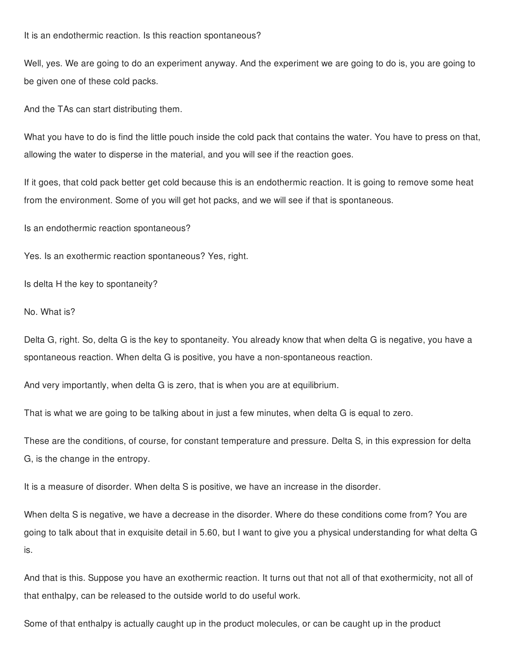It is an endothermic reaction. Is this reaction spontaneous?

Well, yes. We are going to do an experiment anyway. And the experiment we are going to do is, you are going to be given one of these cold packs.

And the TAs can start distributing them.

What you have to do is find the little pouch inside the cold pack that contains the water. You have to press on that, allowing the water to disperse in the material, and you will see if the reaction goes.

If it goes, that cold pack better get cold because this is an endothermic reaction. It is going to remove some heat from the environment. Some of you will get hot packs, and we will see if that is spontaneous.

Is an endothermic reaction spontaneous?

Yes. Is an exothermic reaction spontaneous? Yes, right.

Is delta H the key to spontaneity?

No. What is?

Delta G, right. So, delta G is the key to spontaneity. You already know that when delta G is negative, you have a spontaneous reaction. When delta G is positive, you have a non-spontaneous reaction.

And very importantly, when delta G is zero, that is when you are at equilibrium.

That is what we are going to be talking about in just a few minutes, when delta G is equal to zero.

These are the conditions, of course, for constant temperature and pressure. Delta S, in this expression for delta G, is the change in the entropy.

It is a measure of disorder. When delta S is positive, we have an increase in the disorder.

When delta S is negative, we have a decrease in the disorder. Where do these conditions come from? You are going to talk about that in exquisite detail in 5.60, but I want to give you a physical understanding for what delta G is.

And that is this. Suppose you have an exothermic reaction. It turns out that not all of that exothermicity, not all of that enthalpy, can be released to the outside world to do useful work.

Some of that enthalpy is actually caught up in the product molecules, or can be caught up in the product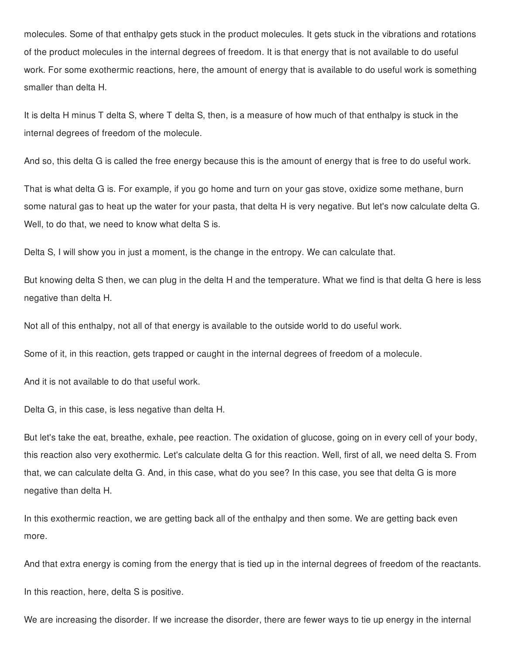molecules. Some of that enthalpy gets stuck in the product molecules. It gets stuck in the vibrations and rotations of the product molecules in the internal degrees of freedom. It is that energy that is not available to do useful work. For some exothermic reactions, here, the amount of energy that is available to do useful work is something smaller than delta H.

It is delta H minus T delta S, where T delta S, then, is a measure of how much of that enthalpy is stuck in the internal degrees of freedom of the molecule.

And so, this delta G is called the free energy because this is the amount of energy that is free to do useful work.

That is what delta G is. For example, if you go home and turn on your gas stove, oxidize some methane, burn some natural gas to heat up the water for your pasta, that delta H is very negative. But let's now calculate delta G. Well, to do that, we need to know what delta S is.

Delta S, I will show you in just a moment, is the change in the entropy. We can calculate that.

But knowing delta S then, we can plug in the delta H and the temperature. What we find is that delta G here is less negative than delta H.

Not all of this enthalpy, not all of that energy is available to the outside world to do useful work.

Some of it, in this reaction, gets trapped or caught in the internal degrees of freedom of a molecule.

And it is not available to do that useful work.

Delta G, in this case, is less negative than delta H.

But let's take the eat, breathe, exhale, pee reaction. The oxidation of glucose, going on in every cell of your body, this reaction also very exothermic. Let's calculate delta G for this reaction. Well, first of all, we need delta S. From that, we can calculate delta G. And, in this case, what do you see? In this case, you see that delta G is more negative than delta H.

In this exothermic reaction, we are getting back all of the enthalpy and then some. We are getting back even more.

And that extra energy is coming from the energy that is tied up in the internal degrees of freedom of the reactants.

In this reaction, here, delta S is positive.

We are increasing the disorder. If we increase the disorder, there are fewer ways to tie up energy in the internal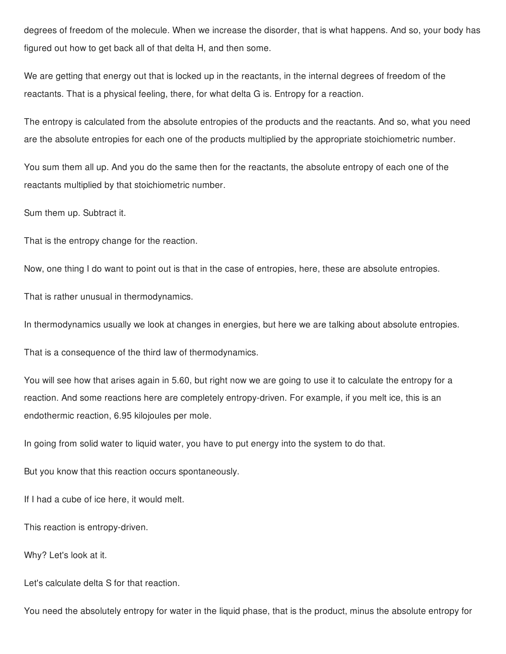degrees of freedom of the molecule. When we increase the disorder, that is what happens. And so, your body has figured out how to get back all of that delta H, and then some.

We are getting that energy out that is locked up in the reactants, in the internal degrees of freedom of the reactants. That is a physical feeling, there, for what delta G is. Entropy for a reaction.

The entropy is calculated from the absolute entropies of the products and the reactants. And so, what you need are the absolute entropies for each one of the products multiplied by the appropriate stoichiometric number.

You sum them all up. And you do the same then for the reactants, the absolute entropy of each one of the reactants multiplied by that stoichiometric number.

Sum them up. Subtract it.

That is the entropy change for the reaction.

Now, one thing I do want to point out is that in the case of entropies, here, these are absolute entropies.

That is rather unusual in thermodynamics.

In thermodynamics usually we look at changes in energies, but here we are talking about absolute entropies.

That is a consequence of the third law of thermodynamics.

You will see how that arises again in 5.60, but right now we are going to use it to calculate the entropy for a reaction. And some reactions here are completely entropy-driven. For example, if you melt ice, this is an endothermic reaction, 6.95 kilojoules per mole.

In going from solid water to liquid water, you have to put energy into the system to do that.

But you know that this reaction occurs spontaneously.

If I had a cube of ice here, it would melt.

This reaction is entropy-driven.

Why? Let's look at it.

Let's calculate delta S for that reaction.

You need the absolutely entropy for water in the liquid phase, that is the product, minus the absolute entropy for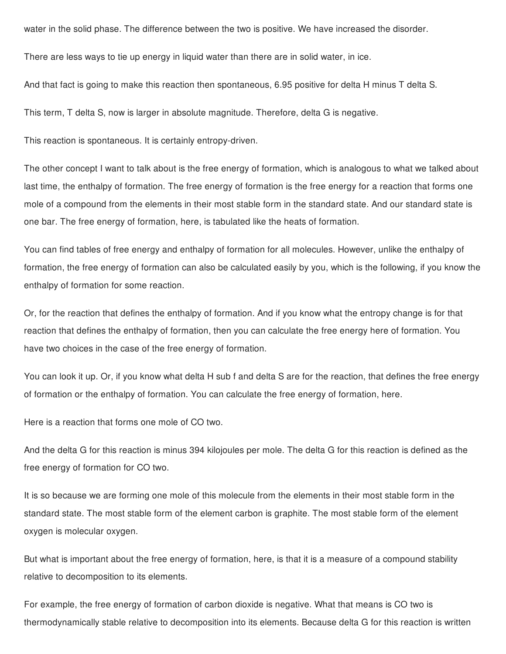water in the solid phase. The difference between the two is positive. We have increased the disorder.

There are less ways to tie up energy in liquid water than there are in solid water, in ice.

And that fact is going to make this reaction then spontaneous, 6.95 positive for delta H minus T delta S.

This term, T delta S, now is larger in absolute magnitude. Therefore, delta G is negative.

This reaction is spontaneous. It is certainly entropy-driven.

The other concept I want to talk about is the free energy of formation, which is analogous to what we talked about last time, the enthalpy of formation. The free energy of formation is the free energy for a reaction that forms one mole of a compound from the elements in their most stable form in the standard state. And our standard state is one bar. The free energy of formation, here, is tabulated like the heats of formation.

You can find tables of free energy and enthalpy of formation for all molecules. However, unlike the enthalpy of formation, the free energy of formation can also be calculated easily by you, which is the following, if you know the enthalpy of formation for some reaction.

Or, for the reaction that defines the enthalpy of formation. And if you know what the entropy change is for that reaction that defines the enthalpy of formation, then you can calculate the free energy here of formation. You have two choices in the case of the free energy of formation.

You can look it up. Or, if you know what delta H sub f and delta S are for the reaction, that defines the free energy of formation or the enthalpy of formation. You can calculate the free energy of formation, here.

Here is a reaction that forms one mole of CO two.

And the delta G for this reaction is minus 394 kilojoules per mole. The delta G for this reaction is defined as the free energy of formation for CO two.

It is so because we are forming one mole of this molecule from the elements in their most stable form in the standard state. The most stable form of the element carbon is graphite. The most stable form of the element oxygen is molecular oxygen.

But what is important about the free energy of formation, here, is that it is a measure of a compound stability relative to decomposition to its elements.

For example, the free energy of formation of carbon dioxide is negative. What that means is CO two is thermodynamically stable relative to decomposition into its elements. Because delta G for this reaction is written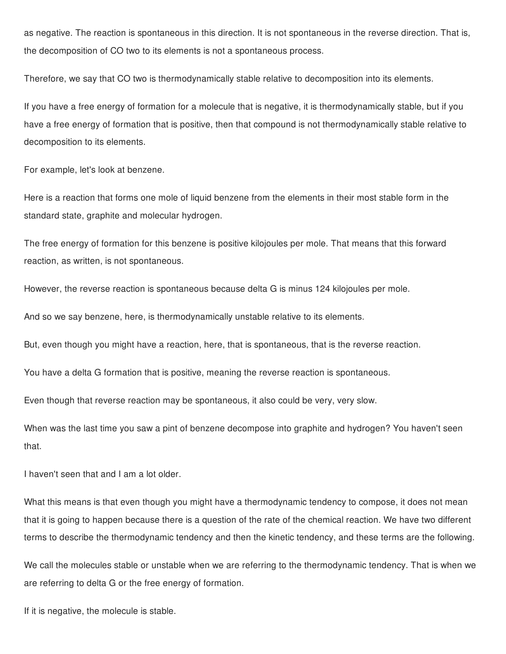as negative. The reaction is spontaneous in this direction. It is not spontaneous in the reverse direction. That is, the decomposition of CO two to its elements is not a spontaneous process.

Therefore, we say that CO two is thermodynamically stable relative to decomposition into its elements.

If you have a free energy of formation for a molecule that is negative, it is thermodynamically stable, but if you have a free energy of formation that is positive, then that compound is not thermodynamically stable relative to decomposition to its elements.

For example, let's look at benzene.

Here is a reaction that forms one mole of liquid benzene from the elements in their most stable form in the standard state, graphite and molecular hydrogen.

The free energy of formation for this benzene is positive kilojoules per mole. That means that this forward reaction, as written, is not spontaneous.

However, the reverse reaction is spontaneous because delta G is minus 124 kilojoules per mole.

And so we say benzene, here, is thermodynamically unstable relative to its elements.

But, even though you might have a reaction, here, that is spontaneous, that is the reverse reaction.

You have a delta G formation that is positive, meaning the reverse reaction is spontaneous.

Even though that reverse reaction may be spontaneous, it also could be very, very slow.

When was the last time you saw a pint of benzene decompose into graphite and hydrogen? You haven't seen that.

I haven't seen that and I am a lot older.

What this means is that even though you might have a thermodynamic tendency to compose, it does not mean that it is going to happen because there is a question of the rate of the chemical reaction. We have two different terms to describe the thermodynamic tendency and then the kinetic tendency, and these terms are the following.

We call the molecules stable or unstable when we are referring to the thermodynamic tendency. That is when we are referring to delta G or the free energy of formation.

If it is negative, the molecule is stable.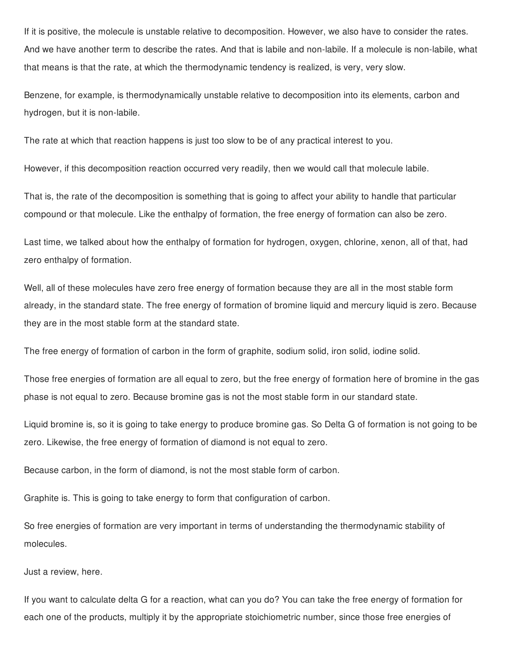If it is positive, the molecule is unstable relative to decomposition. However, we also have to consider the rates. And we have another term to describe the rates. And that is labile and non-labile. If a molecule is non-labile, what that means is that the rate, at which the thermodynamic tendency is realized, is very, very slow.

Benzene, for example, is thermodynamically unstable relative to decomposition into its elements, carbon and hydrogen, but it is non-labile.

The rate at which that reaction happens is just too slow to be of any practical interest to you.

However, if this decomposition reaction occurred very readily, then we would call that molecule labile.

That is, the rate of the decomposition is something that is going to affect your ability to handle that particular compound or that molecule. Like the enthalpy of formation, the free energy of formation can also be zero.

Last time, we talked about how the enthalpy of formation for hydrogen, oxygen, chlorine, xenon, all of that, had zero enthalpy of formation.

Well, all of these molecules have zero free energy of formation because they are all in the most stable form already, in the standard state. The free energy of formation of bromine liquid and mercury liquid is zero. Because they are in the most stable form at the standard state.

The free energy of formation of carbon in the form of graphite, sodium solid, iron solid, iodine solid.

Those free energies of formation are all equal to zero, but the free energy of formation here of bromine in the gas phase is not equal to zero. Because bromine gas is not the most stable form in our standard state.

Liquid bromine is, so it is going to take energy to produce bromine gas. So Delta G of formation is not going to be zero. Likewise, the free energy of formation of diamond is not equal to zero.

Because carbon, in the form of diamond, is not the most stable form of carbon.

Graphite is. This is going to take energy to form that configuration of carbon.

So free energies of formation are very important in terms of understanding the thermodynamic stability of molecules.

Just a review, here.

If you want to calculate delta G for a reaction, what can you do? You can take the free energy of formation for each one of the products, multiply it by the appropriate stoichiometric number, since those free energies of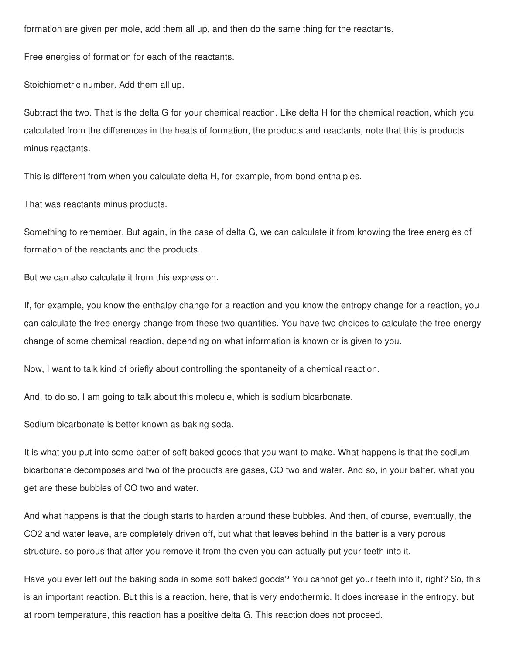formation are given per mole, add them all up, and then do the same thing for the reactants.

Free energies of formation for each of the reactants.

Stoichiometric number. Add them all up.

Subtract the two. That is the delta G for your chemical reaction. Like delta H for the chemical reaction, which you calculated from the differences in the heats of formation, the products and reactants, note that this is products minus reactants.

This is different from when you calculate delta H, for example, from bond enthalpies.

That was reactants minus products.

Something to remember. But again, in the case of delta G, we can calculate it from knowing the free energies of formation of the reactants and the products.

But we can also calculate it from this expression.

If, for example, you know the enthalpy change for a reaction and you know the entropy change for a reaction, you can calculate the free energy change from these two quantities. You have two choices to calculate the free energy change of some chemical reaction, depending on what information is known or is given to you.

Now, I want to talk kind of briefly about controlling the spontaneity of a chemical reaction.

And, to do so, I am going to talk about this molecule, which is sodium bicarbonate.

Sodium bicarbonate is better known as baking soda.

It is what you put into some batter of soft baked goods that you want to make. What happens is that the sodium bicarbonate decomposes and two of the products are gases, CO two and water. And so, in your batter, what you get are these bubbles of CO two and water.

And what happens is that the dough starts to harden around these bubbles. And then, of course, eventually, the CO2 and water leave, are completely driven off, but what that leaves behind in the batter is a very porous structure, so porous that after you remove it from the oven you can actually put your teeth into it.

Have you ever left out the baking soda in some soft baked goods? You cannot get your teeth into it, right? So, this is an important reaction. But this is a reaction, here, that is very endothermic. It does increase in the entropy, but at room temperature, this reaction has a positive delta G. This reaction does not proceed.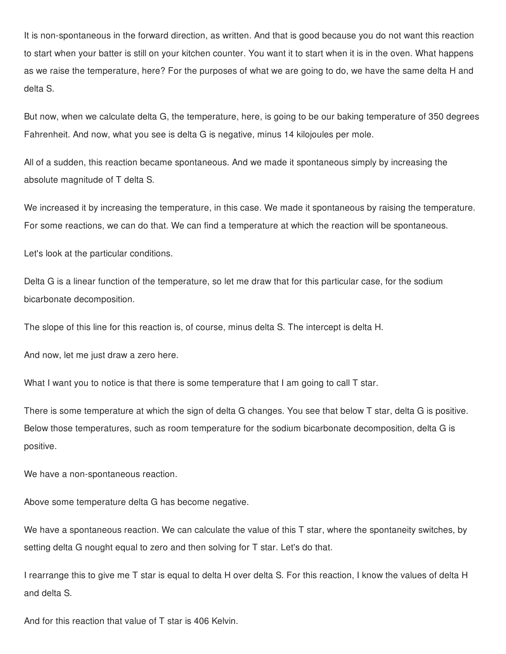It is non-spontaneous in the forward direction, as written. And that is good because you do not want this reaction to start when your batter is still on your kitchen counter. You want it to start when it is in the oven. What happens as we raise the temperature, here? For the purposes of what we are going to do, we have the same delta H and delta S.

But now, when we calculate delta G, the temperature, here, is going to be our baking temperature of 350 degrees Fahrenheit. And now, what you see is delta G is negative, minus 14 kilojoules per mole.

All of a sudden, this reaction became spontaneous. And we made it spontaneous simply by increasing the absolute magnitude of T delta S.

We increased it by increasing the temperature, in this case. We made it spontaneous by raising the temperature. For some reactions, we can do that. We can find a temperature at which the reaction will be spontaneous.

Let's look at the particular conditions.

Delta G is a linear function of the temperature, so let me draw that for this particular case, for the sodium bicarbonate decomposition.

The slope of this line for this reaction is, of course, minus delta S. The intercept is delta H.

And now, let me just draw a zero here.

What I want you to notice is that there is some temperature that I am going to call T star.

There is some temperature at which the sign of delta G changes. You see that below T star, delta G is positive. Below those temperatures, such as room temperature for the sodium bicarbonate decomposition, delta G is positive.

We have a non-spontaneous reaction.

Above some temperature delta G has become negative.

We have a spontaneous reaction. We can calculate the value of this T star, where the spontaneity switches, by setting delta G nought equal to zero and then solving for T star. Let's do that.

I rearrange this to give me T star is equal to delta H over delta S. For this reaction, I know the values of delta H and delta S.

And for this reaction that value of T star is 406 Kelvin.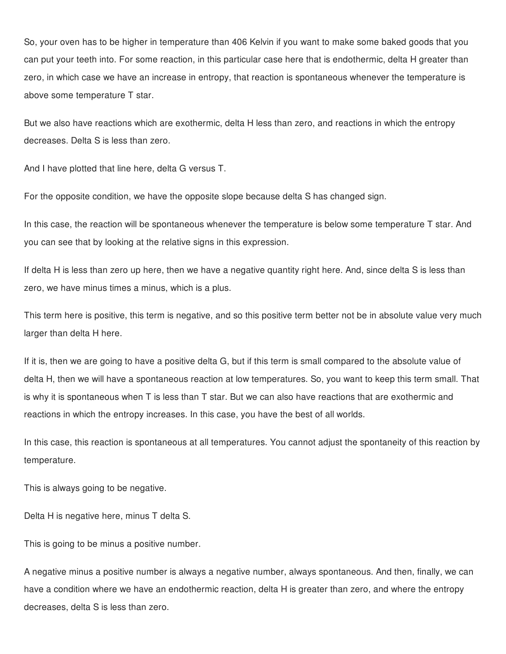So, your oven has to be higher in temperature than 406 Kelvin if you want to make some baked goods that you can put your teeth into. For some reaction, in this particular case here that is endothermic, delta H greater than zero, in which case we have an increase in entropy, that reaction is spontaneous whenever the temperature is above some temperature T star.

But we also have reactions which are exothermic, delta H less than zero, and reactions in which the entropy decreases. Delta S is less than zero.

And I have plotted that line here, delta G versus T.

For the opposite condition, we have the opposite slope because delta S has changed sign.

In this case, the reaction will be spontaneous whenever the temperature is below some temperature T star. And you can see that by looking at the relative signs in this expression.

If delta H is less than zero up here, then we have a negative quantity right here. And, since delta S is less than zero, we have minus times a minus, which is a plus.

This term here is positive, this term is negative, and so this positive term better not be in absolute value very much larger than delta H here.

If it is, then we are going to have a positive delta G, but if this term is small compared to the absolute value of delta H, then we will have a spontaneous reaction at low temperatures. So, you want to keep this term small. That is why it is spontaneous when T is less than T star. But we can also have reactions that are exothermic and reactions in which the entropy increases. In this case, you have the best of all worlds.

In this case, this reaction is spontaneous at all temperatures. You cannot adjust the spontaneity of this reaction by temperature.

This is always going to be negative.

Delta H is negative here, minus T delta S.

This is going to be minus a positive number.

A negative minus a positive number is always a negative number, always spontaneous. And then, finally, we can have a condition where we have an endothermic reaction, delta H is greater than zero, and where the entropy decreases, delta S is less than zero.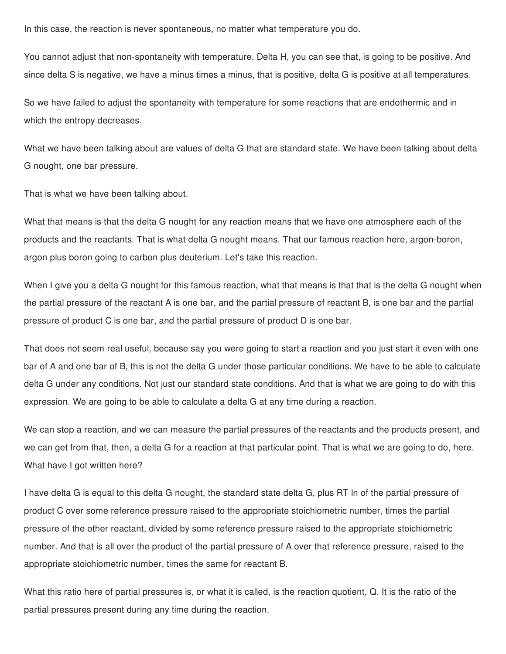In this case, the reaction is never spontaneous, no matter what temperature you do.

You cannot adjust that non-spontaneity with temperature. Delta H, you can see that, is going to be positive. And since delta S is negative, we have a minus times a minus, that is positive, delta G is positive at all temperatures.

So we have failed to adjust the spontaneity with temperature for some reactions that are endothermic and in which the entropy decreases.

What we have been talking about are values of delta G that are standard state. We have been talking about delta G nought, one bar pressure.

That is what we have been talking about.

What that means is that the delta G nought for any reaction means that we have one atmosphere each of the products and the reactants. That is what delta G nought means. That our famous reaction here, argon-boron, argon plus boron going to carbon plus deuterium. Let's take this reaction.

When I give you a delta G nought for this famous reaction, what that means is that that is the delta G nought when the partial pressure of the reactant A is one bar, and the partial pressure of reactant B, is one bar and the partial pressure of product C is one bar, and the partial pressure of product D is one bar.

That does not seem real useful, because say you were going to start a reaction and you just start it even with one bar of A and one bar of B, this is not the delta G under those particular conditions. We have to be able to calculate delta G under any conditions. Not just our standard state conditions. And that is what we are going to do with this expression. We are going to be able to calculate a delta G at any time during a reaction.

We can stop a reaction, and we can measure the partial pressures of the reactants and the products present, and we can get from that, then, a delta G for a reaction at that particular point. That is what we are going to do, here. What have I got written here?

I have delta G is equal to this delta G nought, the standard state delta G, plus RT ln of the partial pressure of product C over some reference pressure raised to the appropriate stoichiometric number, times the partial pressure of the other reactant, divided by some reference pressure raised to the appropriate stoichiometric number. And that is all over the product of the partial pressure of A over that reference pressure, raised to the appropriate stoichiometric number, times the same for reactant B.

What this ratio here of partial pressures is, or what it is called, is the reaction quotient, Q. It is the ratio of the partial pressures present during any time during the reaction.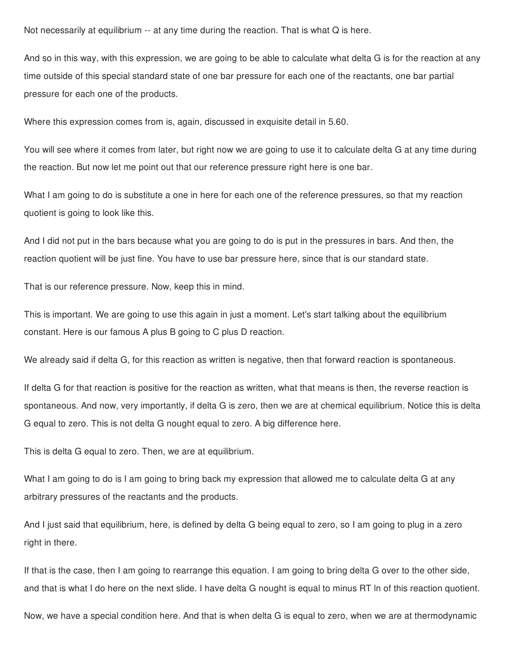Not necessarily at equilibrium -- at any time during the reaction. That is what Q is here.

And so in this way, with this expression, we are going to be able to calculate what delta G is for the reaction at any time outside of this special standard state of one bar pressure for each one of the reactants, one bar partial pressure for each one of the products.

Where this expression comes from is, again, discussed in exquisite detail in 5.60.

You will see where it comes from later, but right now we are going to use it to calculate delta G at any time during the reaction. But now let me point out that our reference pressure right here is one bar.

What I am going to do is substitute a one in here for each one of the reference pressures, so that my reaction quotient is going to look like this.

And I did not put in the bars because what you are going to do is put in the pressures in bars. And then, the reaction quotient will be just fine. You have to use bar pressure here, since that is our standard state.

That is our reference pressure. Now, keep this in mind.

This is important. We are going to use this again in just a moment. Let's start talking about the equilibrium constant. Here is our famous A plus B going to C plus D reaction.

We already said if delta G, for this reaction as written is negative, then that forward reaction is spontaneous.

If delta G for that reaction is positive for the reaction as written, what that means is then, the reverse reaction is spontaneous. And now, very importantly, if delta G is zero, then we are at chemical equilibrium. Notice this is delta G equal to zero. This is not delta G nought equal to zero. A big difference here.

This is delta G equal to zero. Then, we are at equilibrium.

What I am going to do is I am going to bring back my expression that allowed me to calculate delta G at any arbitrary pressures of the reactants and the products.

And I just said that equilibrium, here, is defined by delta G being equal to zero, so I am going to plug in a zero right in there.

If that is the case, then I am going to rearrange this equation. I am going to bring delta G over to the other side, and that is what I do here on the next slide. I have delta G nought is equal to minus RT ln of this reaction quotient.

Now, we have a special condition here. And that is when delta G is equal to zero, when we are at thermodynamic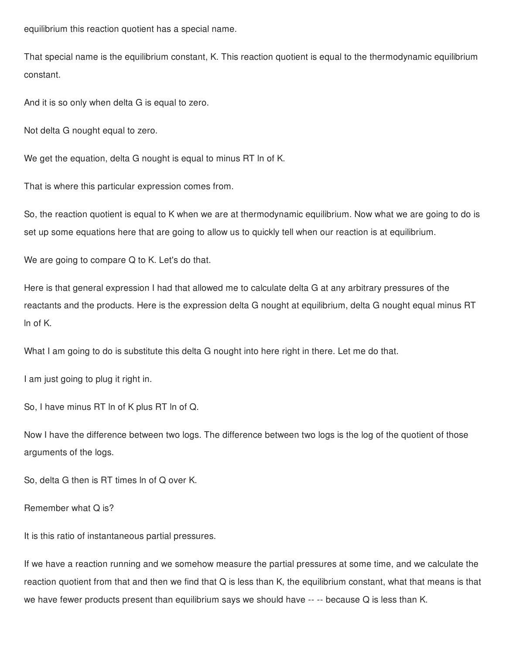equilibrium this reaction quotient has a special name.

That special name is the equilibrium constant, K. This reaction quotient is equal to the thermodynamic equilibrium constant.

And it is so only when delta G is equal to zero.

Not delta G nought equal to zero.

We get the equation, delta G nought is equal to minus RT ln of K.

That is where this particular expression comes from.

So, the reaction quotient is equal to K when we are at thermodynamic equilibrium. Now what we are going to do is set up some equations here that are going to allow us to quickly tell when our reaction is at equilibrium.

We are going to compare Q to K. Let's do that.

Here is that general expression I had that allowed me to calculate delta G at any arbitrary pressures of the reactants and the products. Here is the expression delta G nought at equilibrium, delta G nought equal minus RT ln of K.

What I am going to do is substitute this delta G nought into here right in there. Let me do that.

I am just going to plug it right in.

So, I have minus RT ln of K plus RT ln of Q.

Now I have the difference between two logs. The difference between two logs is the log of the quotient of those arguments of the logs.

So, delta G then is RT times ln of Q over K.

Remember what Q is?

It is this ratio of instantaneous partial pressures.

If we have a reaction running and we somehow measure the partial pressures at some time, and we calculate the reaction quotient from that and then we find that Q is less than K, the equilibrium constant, what that means is that we have fewer products present than equilibrium says we should have -- -- because Q is less than K.